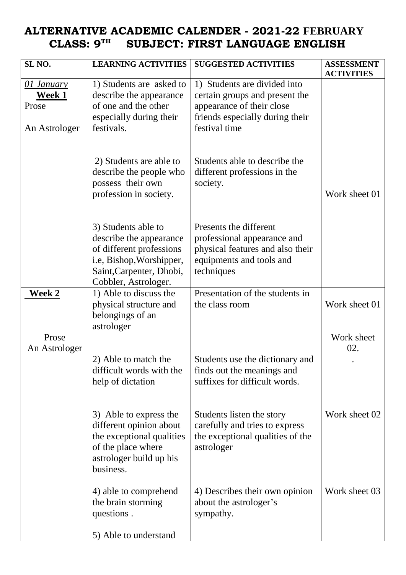# **ALTERNATIVE ACADEMIC CALENDER - 2021-22 FEBRUARY CLASS: 9 TH SUBJECT: FIRST LANGUAGE ENGLISH**

| SL <sub>NO</sub> .                             | <b>LEARNING ACTIVITIES</b>                                                                                                                                 | <b>SUGGESTED ACTIVITIES</b>                                                                                                                     | <b>ASSESSMENT</b><br><b>ACTIVITIES</b> |
|------------------------------------------------|------------------------------------------------------------------------------------------------------------------------------------------------------------|-------------------------------------------------------------------------------------------------------------------------------------------------|----------------------------------------|
| 01 January<br>Week 1<br>Prose<br>An Astrologer | 1) Students are asked to<br>describe the appearance<br>of one and the other<br>especially during their<br>festivals.                                       | 1) Students are divided into<br>certain groups and present the<br>appearance of their close<br>friends especially during their<br>festival time |                                        |
|                                                | 2) Students are able to<br>describe the people who<br>possess their own<br>profession in society.                                                          | Students able to describe the<br>different professions in the<br>society.                                                                       | Work sheet 01                          |
|                                                | 3) Students able to<br>describe the appearance<br>of different professions<br>i.e, Bishop, Worshipper,<br>Saint, Carpenter, Dhobi,<br>Cobbler, Astrologer. | Presents the different<br>professional appearance and<br>physical features and also their<br>equipments and tools and<br>techniques             |                                        |
| Week 2                                         | 1) Able to discuss the<br>physical structure and<br>belongings of an<br>astrologer                                                                         | Presentation of the students in<br>the class room                                                                                               | Work sheet 01                          |
| Prose<br>An Astrologer                         |                                                                                                                                                            |                                                                                                                                                 | Work sheet<br>02.                      |
|                                                | 2) Able to match the<br>difficult words with the<br>help of dictation                                                                                      | Students use the dictionary and<br>finds out the meanings and<br>suffixes for difficult words.                                                  |                                        |
|                                                | 3) Able to express the<br>different opinion about<br>the exceptional qualities<br>of the place where<br>astrologer build up his<br>business.               | Students listen the story<br>carefully and tries to express<br>the exceptional qualities of the<br>astrologer                                   | Work sheet 02                          |
|                                                | 4) able to comprehend<br>the brain storming<br>questions.                                                                                                  | 4) Describes their own opinion<br>about the astrologer's<br>sympathy.                                                                           | Work sheet 03                          |
|                                                | 5) Able to understand                                                                                                                                      |                                                                                                                                                 |                                        |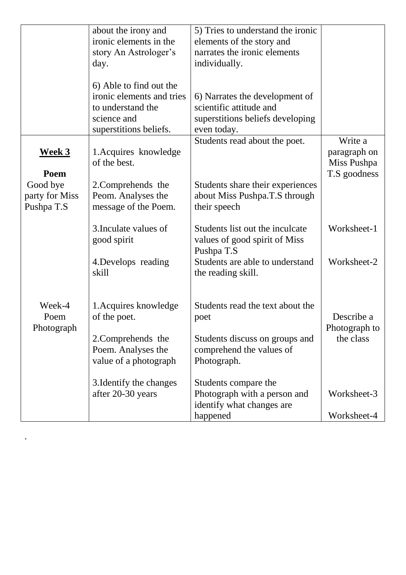|                | about the irony and       | 5) Tries to understand the ironic |               |
|----------------|---------------------------|-----------------------------------|---------------|
|                | ironic elements in the    | elements of the story and         |               |
|                | story An Astrologer's     | narrates the ironic elements      |               |
|                | day.                      | individually.                     |               |
|                |                           |                                   |               |
|                | 6) Able to find out the   |                                   |               |
|                | ironic elements and tries | 6) Narrates the development of    |               |
|                | to understand the         | scientific attitude and           |               |
|                | science and               | superstitions beliefs developing  |               |
|                | superstitions beliefs.    | even today.                       |               |
|                |                           | Students read about the poet.     | Write a       |
| <u>Week 3</u>  | 1. Acquires knowledge     |                                   | paragraph on  |
|                | of the best.              |                                   | Miss Pushpa   |
| Poem           |                           |                                   | T.S goodness  |
| Good bye       | 2. Comprehends the        | Students share their experiences  |               |
| party for Miss | Peom. Analyses the        | about Miss Pushpa.T.S through     |               |
| Pushpa T.S     | message of the Poem.      | their speech                      |               |
|                |                           |                                   |               |
|                | 3. Inculate values of     | Students list out the inculcate   | Worksheet-1   |
|                | good spirit               | values of good spirit of Miss     |               |
|                |                           | Pushpa T.S                        |               |
|                | 4. Develops reading       | Students are able to understand   | Worksheet-2   |
|                | skill                     | the reading skill.                |               |
|                |                           |                                   |               |
|                |                           |                                   |               |
| Week-4         | 1. Acquires knowledge     | Students read the text about the  |               |
| Poem           | of the poet.              | poet                              | Describe a    |
| Photograph     |                           |                                   | Photograph to |
|                | 2.Comprehends the         | Students discuss on groups and    | the class     |
|                | Poem. Analyses the        | comprehend the values of          |               |
|                | value of a photograph     | Photograph.                       |               |
|                |                           |                                   |               |
|                | 3. Identify the changes   | Students compare the              |               |
|                | after 20-30 years         | Photograph with a person and      | Worksheet-3   |
|                |                           | identify what changes are         |               |
|                |                           | happened                          | Worksheet-4   |

.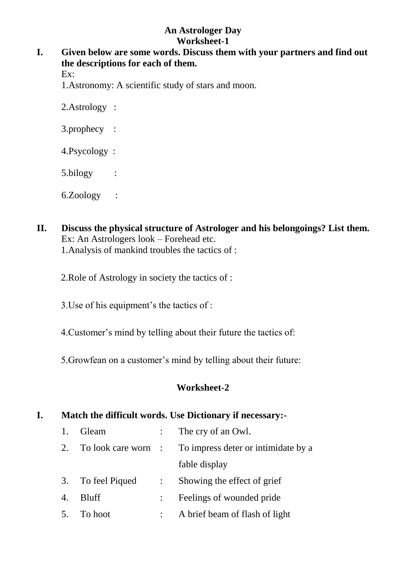#### **An Astrologer Day Worksheet-1**

#### **I. Given below are some words. Discuss them with your partners and find out the descriptions for each of them.** Ex:

1.Astronomy: A scientific study of stars and moon.

2.Astrology :

3.prophecy :

4.Psycology :

5.bilogy :

6.Zoology :

**II. Discuss the physical structure of Astrologer and his belongoings? List them.** Ex: An Astrologers look – Forehead etc. 1.Analysis of mankind troubles the tactics of :

2.Role of Astrology in society the tactics of :

- 3.Use of his equipment's the tactics of :
- 4.Customer's mind by telling about their future the tactics of:

5.Growfean on a customer's mind by telling about their future:

## **Worksheet-2**

## **I. Match the difficult words. Use Dictionary if necessary:-**

| 1. | Gleam             |                  | : The cry of an Owl.                                       |
|----|-------------------|------------------|------------------------------------------------------------|
|    |                   |                  | 2. To look care worn : To impress deter or intimidate by a |
|    |                   |                  | fable display                                              |
|    | 3. To feel Piqued | $\mathbb{Z}^n$ . | Showing the effect of grief                                |
| 4. | Bluff             |                  | Feelings of wounded pride                                  |
|    | 5. To hoot        |                  | A brief beam of flash of light                             |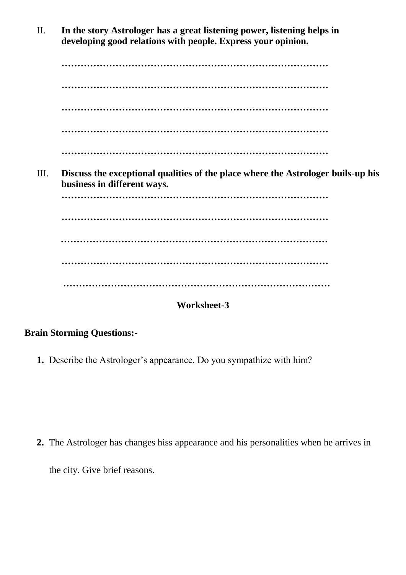II. **In the story Astrologer has a great listening power, listening helps in developing good relations with people. Express your opinion.**

**………………………………………………………………………… ………………………………………………………………………… ………………………………………………………………………… ………………………………………………………………………… …………………………………………………………………………**

III. **Discuss the exceptional qualities of the place where the Astrologer buils-up his business in different ways.**

**………………………………………………………………………… ………………………………………………………………………… ………………………………………………………………………… …………………………………………………………………………**

**…………………………………………………………………………**

## **Worksheet-3**

## **Brain Storming Questions:-**

**1.** Describe the Astrologer's appearance. Do you sympathize with him?

**2.** The Astrologer has changes hiss appearance and his personalities when he arrives in the city. Give brief reasons.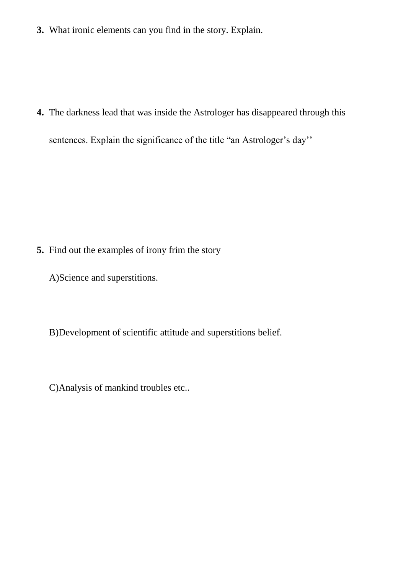**3.** What ironic elements can you find in the story. Explain.

**4.** The darkness lead that was inside the Astrologer has disappeared through this sentences. Explain the significance of the title "an Astrologer's day''

**5.** Find out the examples of irony frim the story

A)Science and superstitions.

B)Development of scientific attitude and superstitions belief.

C)Analysis of mankind troubles etc..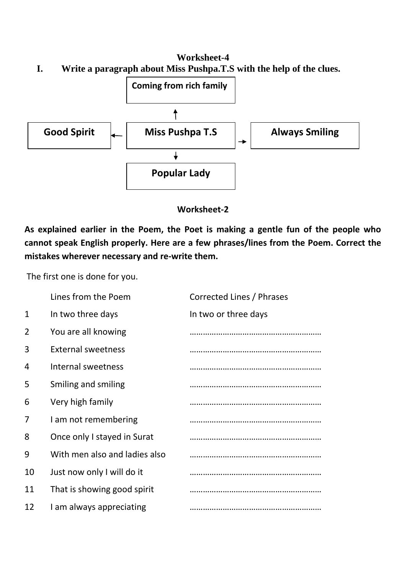**Worksheet-4 I. Write a paragraph about Miss Pushpa.T.S with the help of the clues.**





**As explained earlier in the Poem, the Poet is making a gentle fun of the people who cannot speak English properly. Here are a few phrases/lines from the Poem. Correct the mistakes wherever necessary and re-write them.**

The first one is done for you.

|              | Lines from the Poem           | Corrected Lines / Phrases |
|--------------|-------------------------------|---------------------------|
| $\mathbf{1}$ | In two three days             | In two or three days      |
| 2            | You are all knowing           |                           |
| 3            | <b>External sweetness</b>     |                           |
| 4            | Internal sweetness            |                           |
| 5            | Smiling and smiling           |                           |
| 6            | Very high family              |                           |
| 7            | I am not remembering          |                           |
| 8            | Once only I stayed in Surat   |                           |
| 9            | With men also and ladies also |                           |
| 10           | Just now only I will do it    |                           |
| 11           | That is showing good spirit   |                           |
| 12           | I am always appreciating      |                           |